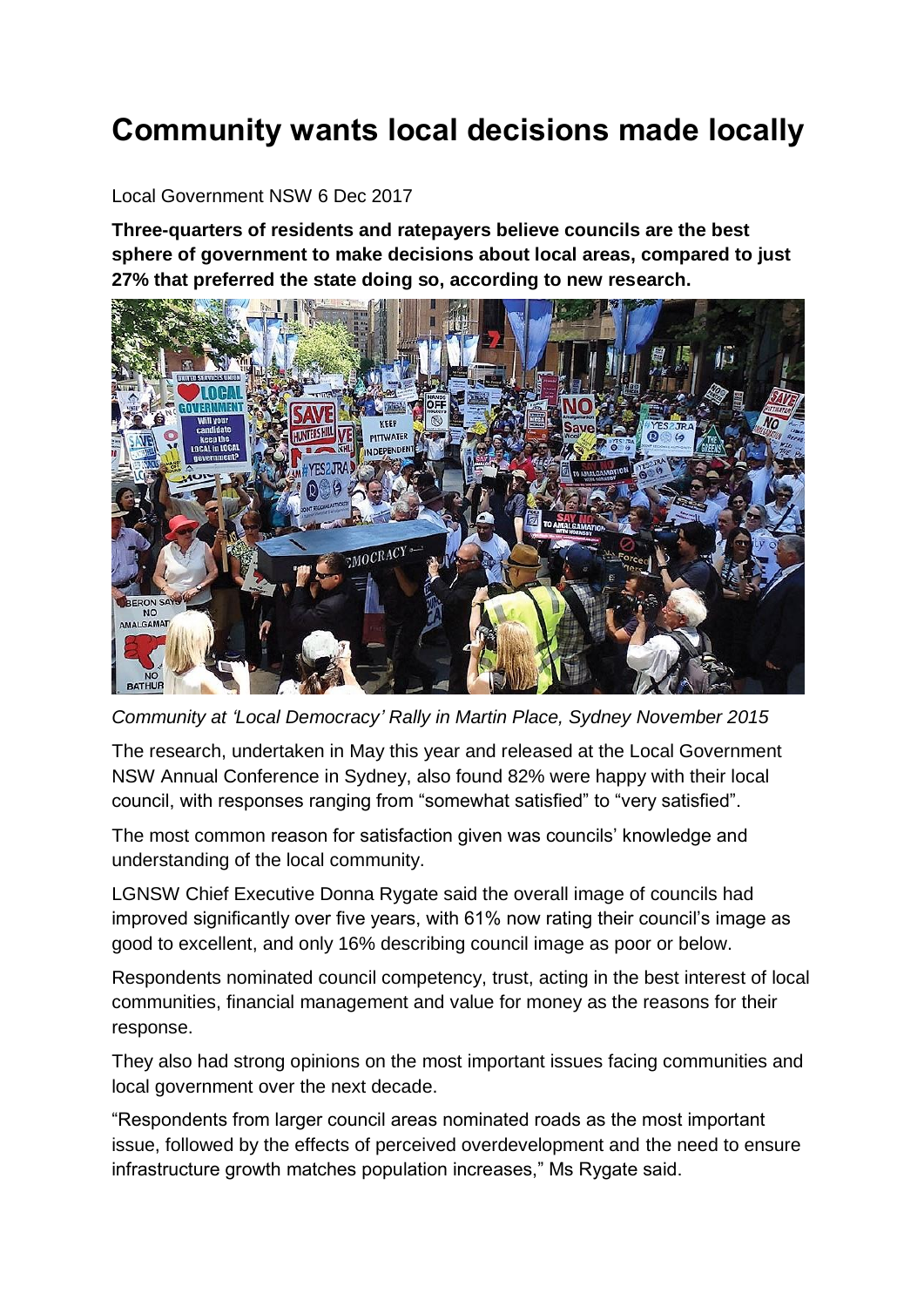## **Community wants local decisions made locally**

## Local Government NSW 6 Dec 2017

**Three-quarters of residents and ratepayers believe councils are the best sphere of government to make decisions about local areas, compared to just 27% that preferred the state doing so, according to new research.**



*Community at 'Local Democracy' Rally in Martin Place, Sydney November 2015*

The research, undertaken in May this year and released at the Local Government NSW Annual Conference in Sydney, also found 82% were happy with their local council, with responses ranging from "somewhat satisfied" to "very satisfied".

The most common reason for satisfaction given was councils' knowledge and understanding of the local community.

LGNSW Chief Executive Donna Rygate said the overall image of councils had improved significantly over five years, with 61% now rating their council's image as good to excellent, and only 16% describing council image as poor or below.

Respondents nominated council competency, trust, acting in the best interest of local communities, financial management and value for money as the reasons for their response.

They also had strong opinions on the most important issues facing communities and local government over the next decade.

"Respondents from larger council areas nominated roads as the most important issue, followed by the effects of perceived overdevelopment and the need to ensure infrastructure growth matches population increases," Ms Rygate said.